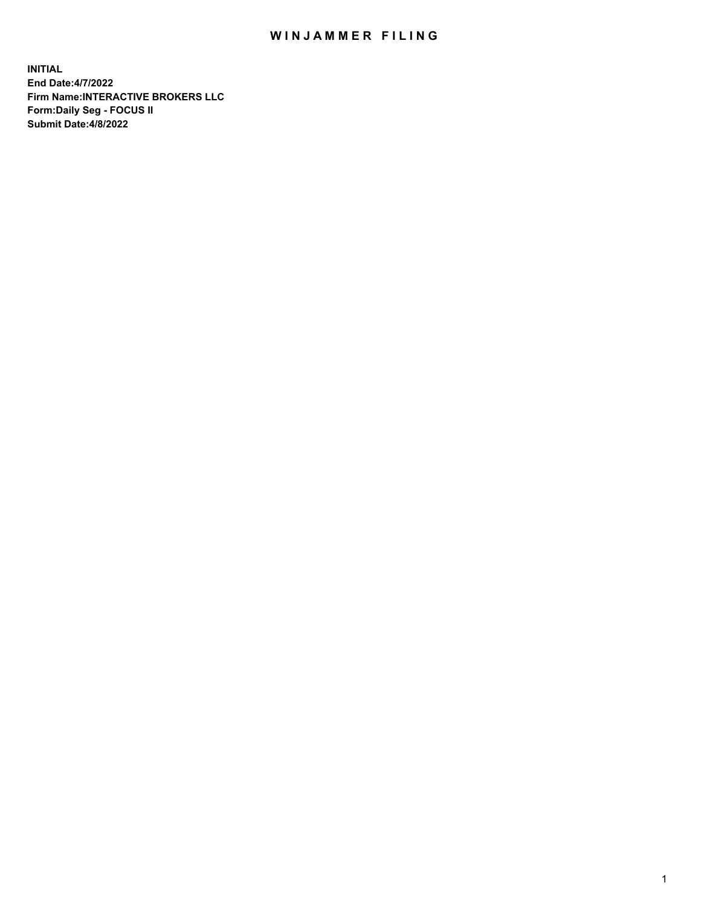## WIN JAMMER FILING

**INITIAL End Date:4/7/2022 Firm Name:INTERACTIVE BROKERS LLC Form:Daily Seg - FOCUS II Submit Date:4/8/2022**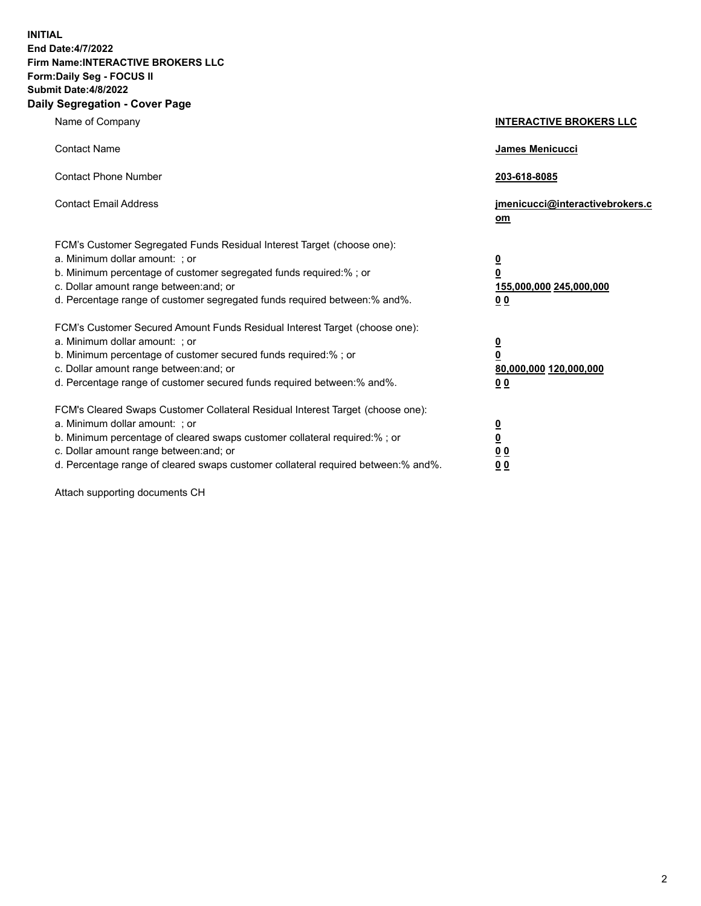**INITIAL End Date:4/7/2022 Firm Name:INTERACTIVE BROKERS LLC Form:Daily Seg - FOCUS II Submit Date:4/8/2022 Daily Segregation - Cover Page**

| Name of Company                                                                                                                                                                                                                                                                                                                | <b>INTERACTIVE BROKERS LLC</b>                                                                  |
|--------------------------------------------------------------------------------------------------------------------------------------------------------------------------------------------------------------------------------------------------------------------------------------------------------------------------------|-------------------------------------------------------------------------------------------------|
| <b>Contact Name</b>                                                                                                                                                                                                                                                                                                            | James Menicucci                                                                                 |
| <b>Contact Phone Number</b>                                                                                                                                                                                                                                                                                                    | 203-618-8085                                                                                    |
| <b>Contact Email Address</b>                                                                                                                                                                                                                                                                                                   | jmenicucci@interactivebrokers.c<br>om                                                           |
| FCM's Customer Segregated Funds Residual Interest Target (choose one):<br>a. Minimum dollar amount: ; or<br>b. Minimum percentage of customer segregated funds required:% ; or<br>c. Dollar amount range between: and; or<br>d. Percentage range of customer segregated funds required between:% and%.                         | $\overline{\mathbf{0}}$<br>$\overline{\mathbf{0}}$<br>155,000,000 245,000,000<br>0 <sub>0</sub> |
| FCM's Customer Secured Amount Funds Residual Interest Target (choose one):<br>a. Minimum dollar amount: ; or<br>b. Minimum percentage of customer secured funds required:%; or<br>c. Dollar amount range between: and; or<br>d. Percentage range of customer secured funds required between:% and%.                            | $\overline{\mathbf{0}}$<br>$\overline{\mathbf{0}}$<br>80,000,000 120,000,000<br>0 <sub>0</sub>  |
| FCM's Cleared Swaps Customer Collateral Residual Interest Target (choose one):<br>a. Minimum dollar amount: ; or<br>b. Minimum percentage of cleared swaps customer collateral required:% ; or<br>c. Dollar amount range between: and; or<br>d. Percentage range of cleared swaps customer collateral required between:% and%. | $\frac{0}{0}$<br>0 <sub>0</sub><br>0 <sub>0</sub>                                               |

Attach supporting documents CH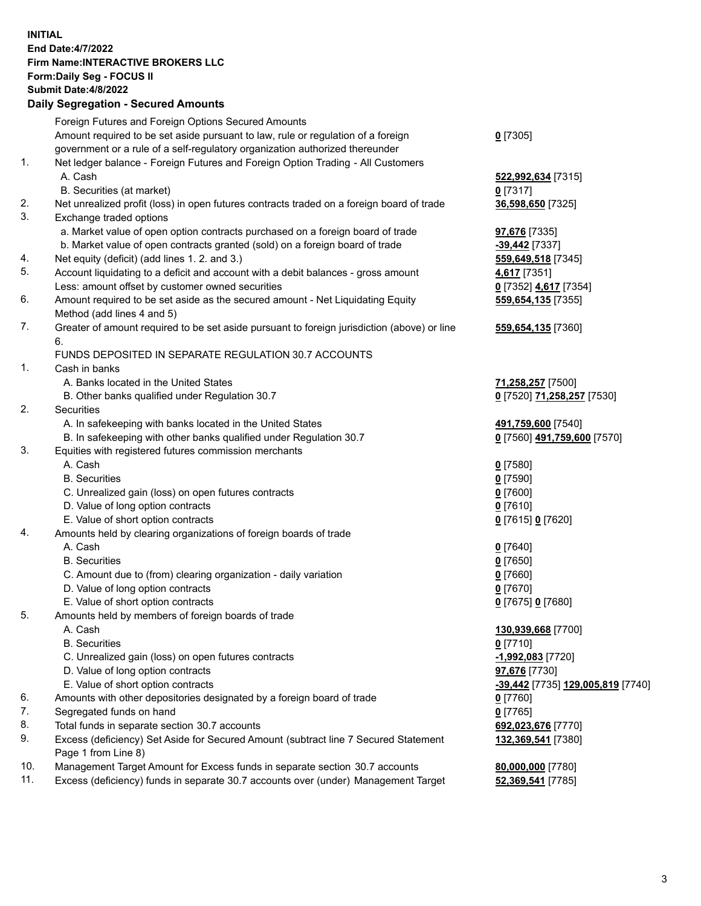**INITIAL End Date:4/7/2022 Firm Name:INTERACTIVE BROKERS LLC Form:Daily Seg - FOCUS II Submit Date:4/8/2022 Daily Segregation - Secured Amounts**

|     | 2011, Ocgi ogation - Oceaned Anioania                                                                      |                                   |
|-----|------------------------------------------------------------------------------------------------------------|-----------------------------------|
|     | Foreign Futures and Foreign Options Secured Amounts                                                        |                                   |
|     | Amount required to be set aside pursuant to law, rule or regulation of a foreign                           | $0$ [7305]                        |
|     | government or a rule of a self-regulatory organization authorized thereunder                               |                                   |
| 1.  | Net ledger balance - Foreign Futures and Foreign Option Trading - All Customers                            |                                   |
|     | A. Cash                                                                                                    | 522,992,634 [7315]                |
|     | B. Securities (at market)                                                                                  | $0$ [7317]                        |
| 2.  | Net unrealized profit (loss) in open futures contracts traded on a foreign board of trade                  | 36,598,650 [7325]                 |
| 3.  | Exchange traded options                                                                                    |                                   |
|     | a. Market value of open option contracts purchased on a foreign board of trade                             | <b>97,676</b> [7335]              |
|     | b. Market value of open contracts granted (sold) on a foreign board of trade                               | $-39,442$ [7337]                  |
| 4.  | Net equity (deficit) (add lines 1. 2. and 3.)                                                              | 559,649,518 [7345]                |
| 5.  | Account liquidating to a deficit and account with a debit balances - gross amount                          | 4,617 [7351]                      |
|     | Less: amount offset by customer owned securities                                                           | 0 [7352] 4,617 [7354]             |
| 6.  | Amount required to be set aside as the secured amount - Net Liquidating Equity                             | 559,654,135 [7355]                |
|     | Method (add lines 4 and 5)                                                                                 |                                   |
| 7.  | Greater of amount required to be set aside pursuant to foreign jurisdiction (above) or line                | 559,654,135 [7360]                |
|     | 6.                                                                                                         |                                   |
|     | FUNDS DEPOSITED IN SEPARATE REGULATION 30.7 ACCOUNTS                                                       |                                   |
| 1.  | Cash in banks                                                                                              |                                   |
|     | A. Banks located in the United States                                                                      | 71,258,257 [7500]                 |
|     | B. Other banks qualified under Regulation 30.7                                                             | 0 [7520] 71,258,257 [7530]        |
| 2.  | Securities                                                                                                 |                                   |
|     | A. In safekeeping with banks located in the United States                                                  | 491,759,600 [7540]                |
|     | B. In safekeeping with other banks qualified under Regulation 30.7                                         | 0 [7560] 491,759,600 [7570]       |
| 3.  | Equities with registered futures commission merchants                                                      |                                   |
|     | A. Cash                                                                                                    | $0$ [7580]                        |
|     | <b>B.</b> Securities                                                                                       | $0$ [7590]                        |
|     | C. Unrealized gain (loss) on open futures contracts                                                        | $0$ [7600]                        |
|     | D. Value of long option contracts                                                                          | $0$ [7610]                        |
|     | E. Value of short option contracts                                                                         | 0 [7615] 0 [7620]                 |
| 4.  | Amounts held by clearing organizations of foreign boards of trade                                          |                                   |
|     | A. Cash                                                                                                    | $0$ [7640]                        |
|     | <b>B.</b> Securities                                                                                       | $0$ [7650]                        |
|     | C. Amount due to (from) clearing organization - daily variation                                            | $0$ [7660]                        |
|     | D. Value of long option contracts                                                                          | $0$ [7670]                        |
|     | E. Value of short option contracts                                                                         | 0 [7675] 0 [7680]                 |
| 5.  | Amounts held by members of foreign boards of trade                                                         |                                   |
|     | A. Cash                                                                                                    | 130,939,668 [7700]                |
|     | <b>B.</b> Securities                                                                                       | $0$ [7710]                        |
|     | C. Unrealized gain (loss) on open futures contracts                                                        | -1,992,083 [7720]                 |
|     | D. Value of long option contracts                                                                          | <b>97,676</b> [7730]              |
|     | E. Value of short option contracts                                                                         | -39,442 [7735] 129,005,819 [7740] |
| 6.  | Amounts with other depositories designated by a foreign board of trade                                     | $0$ [7760]                        |
| 7.  | Segregated funds on hand                                                                                   | $0$ [7765]                        |
| 8.  | Total funds in separate section 30.7 accounts                                                              | 692,023,676 [7770]                |
| 9.  | Excess (deficiency) Set Aside for Secured Amount (subtract line 7 Secured Statement<br>Page 1 from Line 8) | 132,369,541 [7380]                |
| 10. | Management Target Amount for Excess funds in separate section 30.7 accounts                                | 80,000,000 [7780]                 |
| 11. | Excess (deficiency) funds in separate 30.7 accounts over (under) Management Target                         | 52,369,541 [7785]                 |
|     |                                                                                                            |                                   |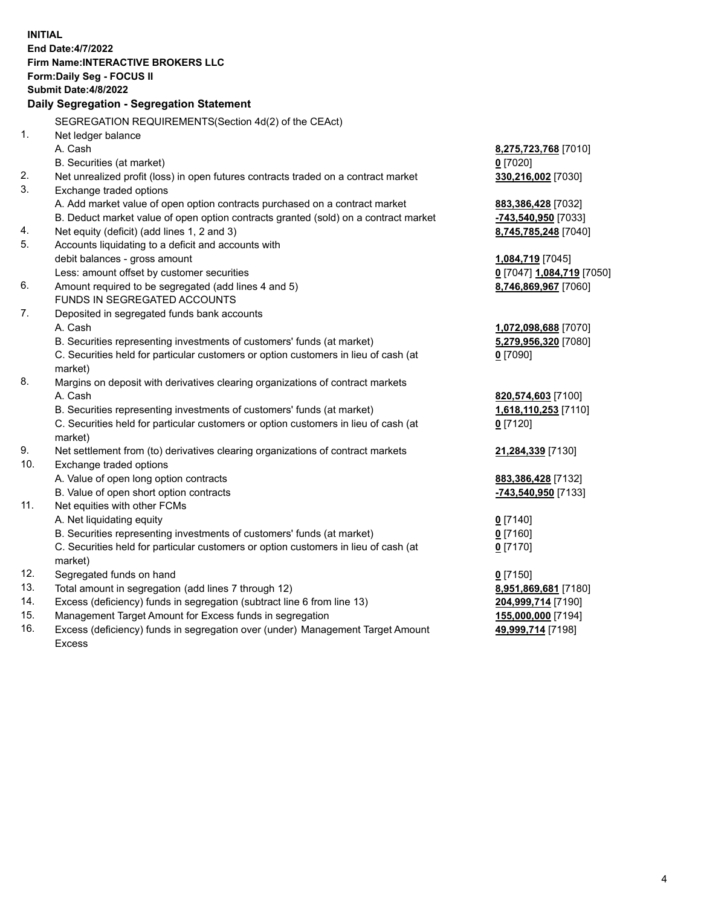**INITIAL End Date:4/7/2022 Firm Name:INTERACTIVE BROKERS LLC Form:Daily Seg - FOCUS II Submit Date:4/8/2022 Daily Segregation - Segregation Statement** SEGREGATION REQUIREMENTS(Section 4d(2) of the CEAct) 1. Net ledger balance A. Cash **8,275,723,768** [7010] B. Securities (at market) **0** [7020] 2. Net unrealized profit (loss) in open futures contracts traded on a contract market **330,216,002** [7030] 3. Exchange traded options A. Add market value of open option contracts purchased on a contract market **883,386,428** [7032] B. Deduct market value of open option contracts granted (sold) on a contract market **-743,540,950** [7033] 4. Net equity (deficit) (add lines 1, 2 and 3) **8,745,785,248** [7040] 5. Accounts liquidating to a deficit and accounts with debit balances - gross amount **1,084,719** [7045] Less: amount offset by customer securities **0** [7047] **1,084,719** [7050] 6. Amount required to be segregated (add lines 4 and 5) **8,746,869,967** [7060] FUNDS IN SEGREGATED ACCOUNTS 7. Deposited in segregated funds bank accounts A. Cash **1,072,098,688** [7070] B. Securities representing investments of customers' funds (at market) **5,279,956,320** [7080] C. Securities held for particular customers or option customers in lieu of cash (at market) **0** [7090] 8. Margins on deposit with derivatives clearing organizations of contract markets A. Cash **820,574,603** [7100] B. Securities representing investments of customers' funds (at market) **1,618,110,253** [7110] C. Securities held for particular customers or option customers in lieu of cash (at market) **0** [7120] 9. Net settlement from (to) derivatives clearing organizations of contract markets **21,284,339** [7130] 10. Exchange traded options A. Value of open long option contracts **883,386,428** [7132] B. Value of open short option contracts **-743,540,950** [7133] 11. Net equities with other FCMs A. Net liquidating equity **0** [7140] B. Securities representing investments of customers' funds (at market) **0** [7160] C. Securities held for particular customers or option customers in lieu of cash (at market) **0** [7170] 12. Segregated funds on hand **0** [7150] 13. Total amount in segregation (add lines 7 through 12) **8,951,869,681** [7180] 14. Excess (deficiency) funds in segregation (subtract line 6 from line 13) **204,999,714** [7190] 15. Management Target Amount for Excess funds in segregation **155,000,000** [7194] 16. Excess (deficiency) funds in segregation over (under) Management Target Amount **49,999,714** [7198]

Excess